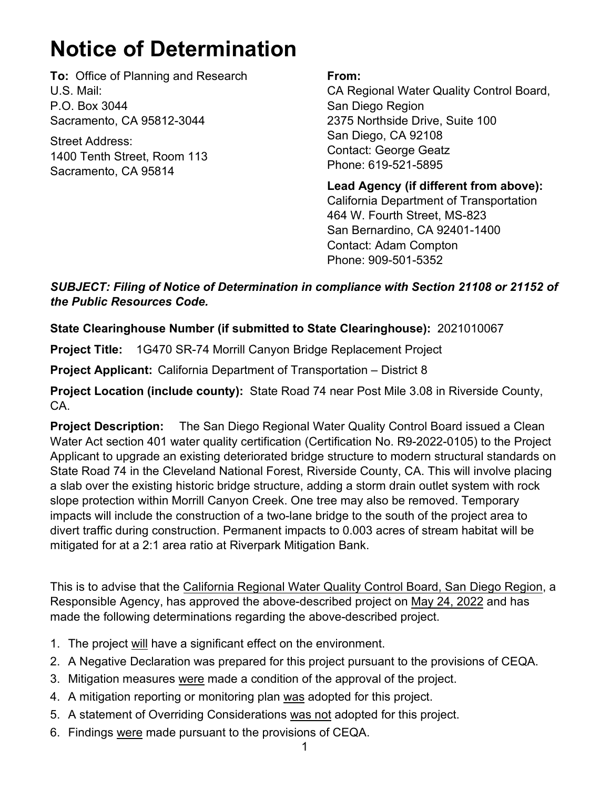## **Notice of Determination**

**To:** Office of Planning and Research U.S. Mail: P.O. Box 3044 Sacramento, CA 95812-3044

Street Address: 1400 Tenth Street, Room 113 Sacramento, CA 95814

## **From:**

CA Regional Water Quality Control Board, San Diego Region 2375 Northside Drive, Suite 100 San Diego, CA 92108 Contact: George Geatz Phone: 619-521-5895

**Lead Agency (if different from above):** California Department of Transportation 464 W. Fourth Street, MS-823 San Bernardino, CA 92401-1400 Contact: Adam Compton Phone: 909-501-5352

## *SUBJECT: Filing of Notice of Determination in compliance with Section 21108 or 21152 of the Public Resources Code.*

## **State Clearinghouse Number (if submitted to State Clearinghouse):** 2021010067

**Project Title:** 1G470 SR-74 Morrill Canyon Bridge Replacement Project

**Project Applicant:** California Department of Transportation – District 8

**Project Location (include county):** State Road 74 near Post Mile 3.08 in Riverside County, CA.

**Project Description:** The San Diego Regional Water Quality Control Board issued a Clean Water Act section 401 water quality certification (Certification No. R9-2022-0105) to the Project Applicant to upgrade an existing deteriorated bridge structure to modern structural standards on State Road 74 in the Cleveland National Forest, Riverside County, CA. This will involve placing a slab over the existing historic bridge structure, adding a storm drain outlet system with rock slope protection within Morrill Canyon Creek. One tree may also be removed. Temporary impacts will include the construction of a two-lane bridge to the south of the project area to divert traffic during construction. Permanent impacts to 0.003 acres of stream habitat will be mitigated for at a 2:1 area ratio at Riverpark Mitigation Bank.

This is to advise that the California Regional Water Quality Control Board, San Diego Region, a Responsible Agency, has approved the above-described project on May 24, 2022 and has made the following determinations regarding the above-described project.

- 1. The project will have a significant effect on the environment.
- 2. A Negative Declaration was prepared for this project pursuant to the provisions of CEQA.
- 3. Mitigation measures were made a condition of the approval of the project.
- 4. A mitigation reporting or monitoring plan was adopted for this project.
- 5. A statement of Overriding Considerations was not adopted for this project.
- 6. Findings were made pursuant to the provisions of CEQA.